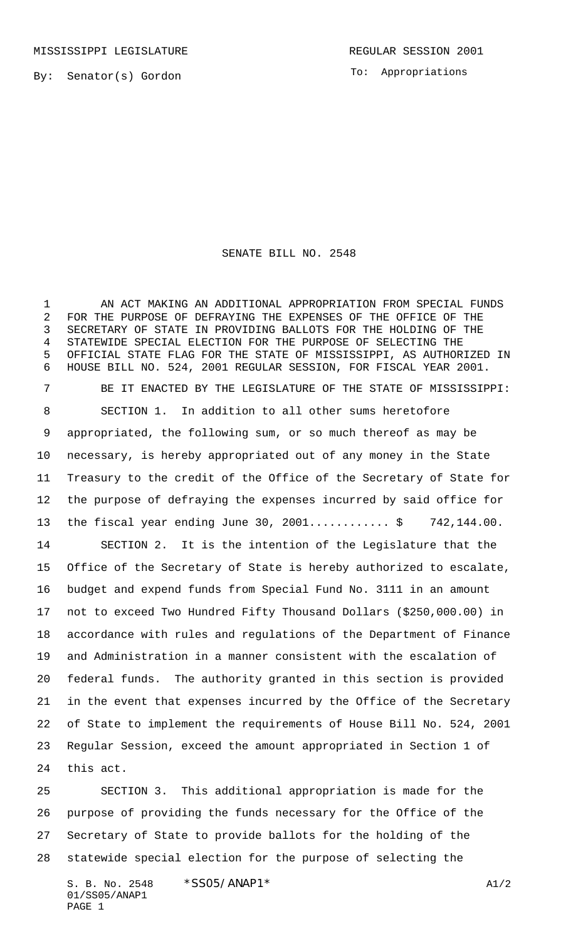To: Appropriations

## SENATE BILL NO. 2548

 AN ACT MAKING AN ADDITIONAL APPROPRIATION FROM SPECIAL FUNDS FOR THE PURPOSE OF DEFRAYING THE EXPENSES OF THE OFFICE OF THE SECRETARY OF STATE IN PROVIDING BALLOTS FOR THE HOLDING OF THE STATEWIDE SPECIAL ELECTION FOR THE PURPOSE OF SELECTING THE OFFICIAL STATE FLAG FOR THE STATE OF MISSISSIPPI, AS AUTHORIZED IN HOUSE BILL NO. 524, 2001 REGULAR SESSION, FOR FISCAL YEAR 2001. BE IT ENACTED BY THE LEGISLATURE OF THE STATE OF MISSISSIPPI: SECTION 1. In addition to all other sums heretofore appropriated, the following sum, or so much thereof as may be necessary, is hereby appropriated out of any money in the State Treasury to the credit of the Office of the Secretary of State for the purpose of defraying the expenses incurred by said office for 13 the fiscal year ending June 30, 2001..............\$ 742,144.00. SECTION 2. It is the intention of the Legislature that the Office of the Secretary of State is hereby authorized to escalate, budget and expend funds from Special Fund No. 3111 in an amount not to exceed Two Hundred Fifty Thousand Dollars (\$250,000.00) in accordance with rules and regulations of the Department of Finance and Administration in a manner consistent with the escalation of federal funds. The authority granted in this section is provided in the event that expenses incurred by the Office of the Secretary of State to implement the requirements of House Bill No. 524, 2001 Regular Session, exceed the amount appropriated in Section 1 of this act.

 SECTION 3. This additional appropriation is made for the purpose of providing the funds necessary for the Office of the Secretary of State to provide ballots for the holding of the statewide special election for the purpose of selecting the

S. B. No. 2548 \* SSO5/ANAP1 \* A1/2 01/SS05/ANAP1 PAGE 1